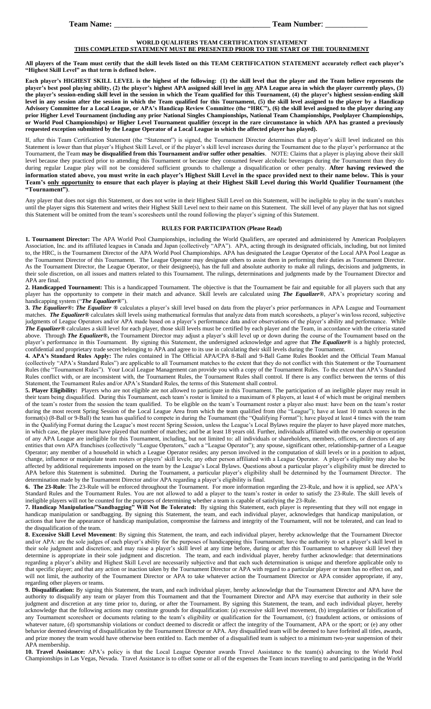## **WORLD QUALIFIERS TEAM CERTIFICATION STATEMENT**

## **THIS COMPLETED STATEMENT MUST BE PRESENTED PRIOR TO THE START OF THE TOURNEMENT**

**All players of the Team must certify that the skill levels listed on this TEAM CERTIFICATION STATEMENT accurately reflect each player's "Highest Skill Level" as that term is defined below.**

**Each player's HIGHEST SKILL LEVEL is the highest of the following: (1) the skill level that the player and the Team believe represents the player's best pool playing ability, (2) the player's highest APA assigned skill level in any APA League area in which the player currently plays, (3) the player's session-ending skill level in the session in which the Team qualified for this Tournament, (4) the player's highest session-ending skill level in any session after the session in which the Team qualified for this Tournament, (5) the skill level assigned to the player by a Handicap Advisory Committee for a Local League, or APA's Handicap Review Committee (the "HRC"), (6) the skill level assigned to the player during any prior Higher Level Tournament (including any prior National Singles Championships, National Team Championships, Poolplayer Championships, or World Pool Championships) or Higher Level Tournament qualifier (except in the rare circumstance in which APA has granted a previously requested exception submitted by the League Operator of a Local League in which the affected player has played).** 

If, after this Team Certification Statement (the "Statement") is signed, the Tournament Director determines that a player's skill level indicated on this Statement is lower than that player's Highest Skill Level, or if the player's skill level increases during the Tournament due to the player's performance at the Tournament, the Team **may be disqualified from this Tournament and/or suffer other penalties**. NOTE: Claims that a player is playing above their skill level because they practiced prior to attending this Tournament or because they consumed fewer alcoholic beverages during the Tournament than they do during regular League play will not be considered sufficient grounds to challenge a disqualification or other penalty. **After having reviewed the information stated above, you must write in each player's Highest Skill Level in the space provided next to their name below. This is your Team's only opportunity to ensure that each player is playing at their Highest Skill Level during this World Qualifier Tournament (the "Tournament")**.

Any player that does not sign this Statement, or does not write in their Highest Skill Level on this Statement, will be ineligible to play in the team's matches until the player signs this Statement and writes their Highest Skill Level next to their name on this Statement. The skill level of any player that has not signed this Statement will be omitted from the team's scoresheets until the round following the player's signing of this Statement.

## **RULES FOR PARTICIPATION (Please Read)**

**1. Tournament Director:** The APA World Pool Championships, including the World Qualifiers, are operated and administered by American Poolplayers Association, Inc. and its affiliated leagues in Canada and Japan (collectively "APA"). APA, acting through its designated officials, including, but not limited to, the HRC, is the Tournament Director of the APA World Pool Championships. APA has designated the League Operator of the Local APA Pool League as the Tournament Director of this Tournament. The League Operator may designate others to assist them in performing their duties as Tournament Director. As the Tournament Director, the League Operator, or their designee(s), has the full and absolute authority to make all rulings, decisions and judgments, in their sole discretion, on all issues and matters related to this Tournament. The rulings, determinations and judgments made by the Tournament Director and APA are final.

**2. Handicapped Tournament:** This is a handicapped Tournament. The objective is that the Tournament be fair and equitable for all players such that any player has the opportunity to compete in their match and advance. Skill levels are calculated using *The Equalizer***®**, APA's proprietary scoring and handicapping system ("*The Equalizer***®**").

**3.** *The Equalizer***®:** *The Equalizer ®* calculates a player's skill level based on data from the player's prior performances in APA League and Tournament matches. *The Equalizer***®** calculates skill levels using mathematical formulas that analyze data from match scoresheets, a player's win/loss record, subjective judgments of League Operators and/or APA made based on a player's performance data and/or observations of the player's ability and performance. While *The Equalizer***®** calculates a skill level for each player, those skill levels must be certified by each player and the Team, in accordance with the criteria stated above. Through *The Equalizer***®,** the Tournament Director may adjust a player's skill level up or down during the course of the Tournament based on the player's performance in this Tournament. By signing this Statement, the undersigned acknowledge and agree that *The Equalizer***®** is a highly protected, confidential and proprietary trade secret belonging to APA and agree to its use in calculating their skill levels during the Tournament.

**4. APA's Standard Rules Apply:** The rules contained in The Official APA/CPA 8-Ball and 9-Ball Game Rules Booklet and the Official Team Manual (collectively "APA's Standard Rules") are applicable to all Tournament matches to the extent that they do not conflict with this Statement or the Tournament Rules (the "Tournament Rules"). Your Local League Management can provide you with a copy of the Tournament Rules. To the extent that APA's Standard Rules conflict with, or are inconsistent with, the Tournament Rules, the Tournament Rules shall control. If there is any conflict between the terms of this Statement, the Tournament Rules and/or APA's Standard Rules, the terms of this Statement shall control.

5. Player Eligibility: Players who are not eligible are not allowed to participate in this Tournament. The participation of an ineligible player may result in their team being disqualified. During this Tournament, each team's roster is limited to a maximum of 8 players, at least 4 of which must be original members of the team's roster from the session the team qualified. To be eligible on the team's Tournament roster a player also must: have been on the team's roster during the most recent Spring Session of the Local League Area from which the team qualified from (the "League"); have at least 10 match scores in the format(s) (8-Ball or 9-Ball) the team has qualified to compete in during the Tournament (the "Qualifying Format"); have played at least 4 times with the team in the Qualifying Format during the League's most recent Spring Session, unless the League's Local Bylaws require the player to have played more matches, in which case, the player must have played that number of matches; and be at least 18 years old. Further, individuals affiliated with the ownership or operation of any APA League are ineligible for this Tournament, including, but not limited to: all individuals or shareholders, members, officers, or directors of any entities that own APA franchises (collectively "League Operators," each a "League Operator"); any spouse, significant other, relationship-partner of a League Operator; any member of a household in which a League Operator resides; any person involved in the computation of skill levels or in a position to adjust, change, influence or manipulate team rosters or players' skill levels; any other person affiliated with a League Operator. A player's eligibility may also be affected by additional requirements imposed on the team by the League's Local Bylaws. Questions about a particular player's eligibility must be directed to APA before this Statement is submitted. During the Tournament, a particular player's eligibility shall be determined by the Tournament Director. The determination made by the Tournament Director and/or APA regarding a player's eligibility is final.

**6. The 23-Rule**: The 23-Rule will be enforced throughout the Tournament. For more information regarding the 23-Rule, and how it is applied, see APA's Standard Rules and the Tournament Rules. You are not allowed to add a player to the team's roster in order to satisfy the 23-Rule. The skill levels of ineligible players will not be counted for the purposes of determining whether a team is capable of satisfying the 23-Rule.

**7. Handicap Manipulation/"Sandbagging" Will Not Be Tolerated:** By signing this Statement, each player is representing that they will not engage in handicap manipulation or sandbagging. By signing this Statement, the team, and each individual player, acknowledges that handicap manipulation, or actions that have the appearance of handicap manipulation, compromise the fairness and integrity of the Tournament, will not be tolerated, and can lead to the disqualification of the team.

**8. Excessive Skill Level Movement**: By signing this Statement, the team, and each individual player, hereby acknowledge that the Tournament Director and/or APA: are the sole judges of each player's ability for the purposes of handicapping this Tournament; have the authority to set a player's skill level in their sole judgment and discretion; and may raise a player's skill level at any time before, during or after this Tournament to whatever skill level they determine is appropriate in their sole judgment and discretion. The team, and each individual player, hereby further acknowledge: that determinations regarding a player's ability and Highest Skill Level are necessarily subjective and that each such determination is unique and therefore applicable only to that specific player; and that any action or inaction taken by the Tournament Director or APA with regard to a particular player or team has no effect on, and will not limit, the authority of the Tournament Director or APA to take whatever action the Tournament Director or APA consider appropriate, if any, regarding other players or teams.

**9. Disqualification:** By signing this Statement, the team, and each individual player, hereby acknowledge that the Tournament Director and APA have the authority to disqualify any team or player from this Tournament and that the Tournament Director and APA may exercise that authority in their sole judgment and discretion at any time prior to, during, or after the Tournament. By signing this Statement, the team, and each individual player, hereby acknowledge that the following actions may constitute grounds for disqualification: (a) excessive skill level movement, (b) irregularities or falsification of any Tournament scoresheet or documents relating to the team's eligibility or qualification for the Tournament, (c) fraudulent actions, or omissions of whatever nature, (d) sportsmanship violations or conduct deemed to discredit or affect the integrity of the Tournament, APA or the sport; or (e) any other behavior deemed deserving of disqualification by the Tournament Director or APA. Any disqualified team will be deemed to have forfeited all titles, awards, and prize money the team would have otherwise been entitled to. Each member of a disqualified team is subject to a minimum two-year suspension of their APA membership.

**10. Travel Assistance:** APA's policy is that the Local League Operator awards Travel Assistance to the team(s) advancing to the World Pool Championships in Las Vegas, Nevada. Travel Assistance is to offset some or all of the expenses the Team incurs traveling to and participating in the World